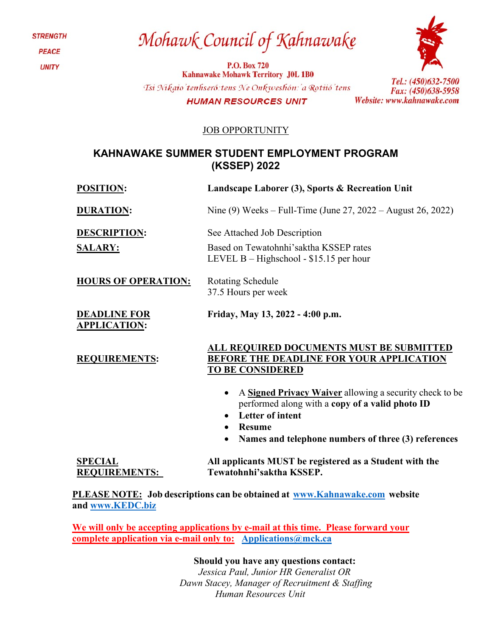**STRENGTH PEACE UNITY** 

# Mohawk Council of Kahnawake

**P.O. Box 720 Kahnawake Mohawk Territory J0L 1B0** Tsi Nikaio'tenhseró: tens Ne Onkweshón: 'a Rotiió'tens **HUMAN RESOURCES UNIT** 



Tel.: (450)632-7500

Fax: (450)638-5958

Website: www.kahnawake.com

JOB OPPORTUNITY

## **KAHNAWAKE SUMMER STUDENT EMPLOYMENT PROGRAM (KSSEP) 2022**

|  | <b>POSITION:</b> |  |
|--|------------------|--|
|--|------------------|--|

**Landscape Laborer** (3), Sports & Recreation Unit **DURATION:** Nine (9) Weeks – Full-Time (June 27, 2022 – August 26, 2022) **DESCRIPTION:** See Attached Job Description **SALARY: HOURS OF OPERATION:** Based on Tewatohnhi'saktha KSSEP rates LEVEL B – Highschool - \$15.15 per hour Rotating Schedule 37.5 Hours per week **DEADLINE FOR APPLICATION: Friday, May 13, 2022 - 4:00 p.m. REQUIREMENTS: ALL REQUIRED DOCUMENTS MUST BE SUBMITTED BEFORE THE DEADLINE FOR YOUR APPLICATION TO BE CONSIDERED** • A **Signed Privacy Waiver** allowing a security check to be performed along with a **copy of a valid photo ID** • **Letter of intent** • **Resume**  • **Names and telephone numbers of three (3) references SPECIAL REQUIREMENTS: All applicants MUST be registered as a Student with the Tewatohnhi'saktha KSSEP.**

**PLEASE NOTE: Job descriptions can be obtained at [www.Kahnawake.com](http://www.kahnawake.com/) website and [www.KEDC.biz](http://www.kedc.biz/)**

**We will only be accepting applications by e-mail at this time. Please forward your complete application via e-mail only to: [Applications@mck.ca](mailto:Applications@mck.ca)**

**Should you have any questions contact:**

*Jessica Paul, Junior HR Generalist OR Dawn Stacey, Manager of Recruitment & Staffing Human Resources Unit*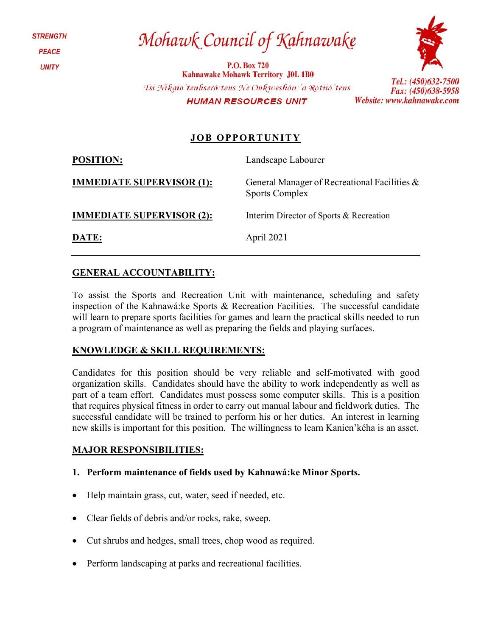**STRENGTH PEACE UNITY** 

Mohawk Council of Kahnawake

**P.O. Box 720 Kahnawake Mohawk Territory J0L 1B0** Tsi Nikaio'tenhseró: tens Ne Onkweshón: 'a Rotiió'tens **HUMAN RESOURCES UNIT** 



Tel.: (450)632-7500 Fax: (450)638-5958 Website: www.kahnawake.com

## **JOB OPPORTUNITY**

**POSITION:** Landscape Labourer

Sports Complex

**IMMEDIATE SUPERVISOR (1):** General Manager of Recreational Facilities &

**IMMEDIATE SUPERVISOR (2):** Interim Director of Sports & Recreation

**DATE:** April 2021

### **GENERAL ACCOUNTABILITY:**

To assist the Sports and Recreation Unit with maintenance, scheduling and safety inspection of the Kahnawá:ke Sports & Recreation Facilities. The successful candidate will learn to prepare sports facilities for games and learn the practical skills needed to run a program of maintenance as well as preparing the fields and playing surfaces.

#### **KNOWLEDGE & SKILL REQUIREMENTS:**

Candidates for this position should be very reliable and self-motivated with good organization skills. Candidates should have the ability to work independently as well as part of a team effort. Candidates must possess some computer skills. This is a position that requires physical fitness in order to carry out manual labour and fieldwork duties. The successful candidate will be trained to perform his or her duties. An interest in learning new skills is important for this position. The willingness to learn Kanien'kéha is an asset.

#### **MAJOR RESPONSIBILITIES:**

#### **1. Perform maintenance of fields used by Kahnawá:ke Minor Sports.**

- Help maintain grass, cut, water, seed if needed, etc.
- Clear fields of debris and/or rocks, rake, sweep.
- Cut shrubs and hedges, small trees, chop wood as required.
- Perform landscaping at parks and recreational facilities.